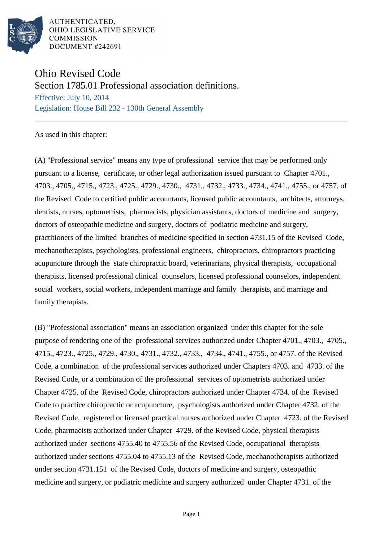

AUTHENTICATED. OHIO LEGISLATIVE SERVICE **COMMISSION DOCUMENT #242691** 

## Ohio Revised Code

Section 1785.01 Professional association definitions.

Effective: July 10, 2014 Legislation: House Bill 232 - 130th General Assembly

As used in this chapter:

(A) "Professional service" means any type of professional service that may be performed only pursuant to a license, certificate, or other legal authorization issued pursuant to Chapter 4701., 4703., 4705., 4715., 4723., 4725., 4729., 4730., 4731., 4732., 4733., 4734., 4741., 4755., or 4757. of the Revised Code to certified public accountants, licensed public accountants, architects, attorneys, dentists, nurses, optometrists, pharmacists, physician assistants, doctors of medicine and surgery, doctors of osteopathic medicine and surgery, doctors of podiatric medicine and surgery, practitioners of the limited branches of medicine specified in section 4731.15 of the Revised Code, mechanotherapists, psychologists, professional engineers, chiropractors, chiropractors practicing acupuncture through the state chiropractic board, veterinarians, physical therapists, occupational therapists, licensed professional clinical counselors, licensed professional counselors, independent social workers, social workers, independent marriage and family therapists, and marriage and family therapists.

(B) "Professional association" means an association organized under this chapter for the sole purpose of rendering one of the professional services authorized under Chapter 4701., 4703., 4705., 4715., 4723., 4725., 4729., 4730., 4731., 4732., 4733., 4734., 4741., 4755., or 4757. of the Revised Code, a combination of the professional services authorized under Chapters 4703. and 4733. of the Revised Code, or a combination of the professional services of optometrists authorized under Chapter 4725. of the Revised Code, chiropractors authorized under Chapter 4734. of the Revised Code to practice chiropractic or acupuncture, psychologists authorized under Chapter 4732. of the Revised Code, registered or licensed practical nurses authorized under Chapter 4723. of the Revised Code, pharmacists authorized under Chapter 4729. of the Revised Code, physical therapists authorized under sections 4755.40 to 4755.56 of the Revised Code, occupational therapists authorized under sections 4755.04 to 4755.13 of the Revised Code, mechanotherapists authorized under section 4731.151 of the Revised Code, doctors of medicine and surgery, osteopathic medicine and surgery, or podiatric medicine and surgery authorized under Chapter 4731. of the